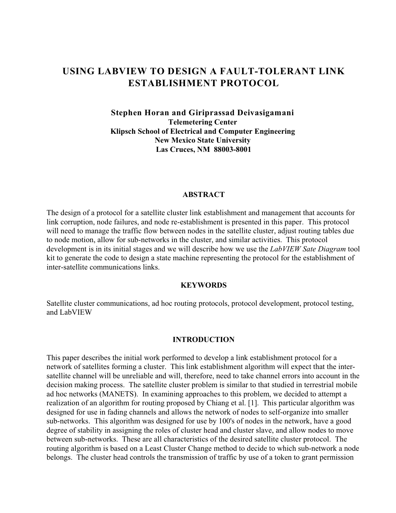# **USING LABVIEW TO DESIGN A FAULT-TOLERANT LINK ESTABLISHMENT PROTOCOL**

### **Stephen Horan and Giriprassad Deivasigamani Telemetering Center Klipsch School of Electrical and Computer Engineering New Mexico State University Las Cruces, NM 88003-8001**

#### **ABSTRACT**

The design of a protocol for a satellite cluster link establishment and management that accounts for link corruption, node failures, and node re-establishment is presented in this paper. This protocol will need to manage the traffic flow between nodes in the satellite cluster, adjust routing tables due to node motion, allow for sub-networks in the cluster, and similar activities. This protocol development is in its initial stages and we will describe how we use the *LabVIEW Sate Diagram* tool kit to generate the code to design a state machine representing the protocol for the establishment of inter-satellite communications links.

#### **KEYWORDS**

Satellite cluster communications, ad hoc routing protocols, protocol development, protocol testing, and LabVIEW

#### **INTRODUCTION**

This paper describes the initial work performed to develop a link establishment protocol for a network of satellites forming a cluster. This link establishment algorithm will expect that the intersatellite channel will be unreliable and will, therefore, need to take channel errors into account in the decision making process. The satellite cluster problem is similar to that studied in terrestrial mobile ad hoc networks (MANETS). In examining approaches to this problem, we decided to attempt a realization of an algorithm for routing proposed by Chiang et al. [1]. This particular algorithm was designed for use in fading channels and allows the network of nodes to self-organize into smaller sub-networks. This algorithm was designed for use by 100's of nodes in the network, have a good degree of stability in assigning the roles of cluster head and cluster slave, and allow nodes to move between sub-networks. These are all characteristics of the desired satellite cluster protocol. The routing algorithm is based on a Least Cluster Change method to decide to which sub-network a node belongs. The cluster head controls the transmission of traffic by use of a token to grant permission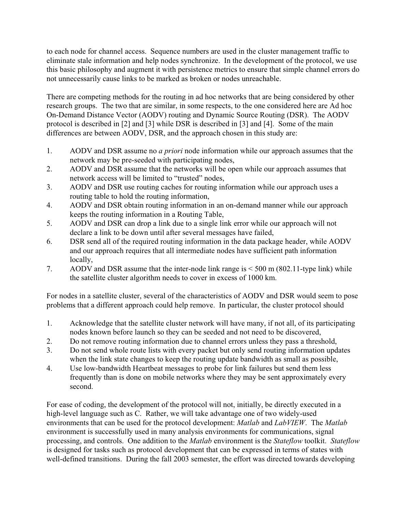to each node for channel access. Sequence numbers are used in the cluster management traffic to eliminate stale information and help nodes synchronize. In the development of the protocol, we use this basic philosophy and augment it with persistence metrics to ensure that simple channel errors do not unnecessarily cause links to be marked as broken or nodes unreachable.

There are competing methods for the routing in ad hoc networks that are being considered by other research groups. The two that are similar, in some respects, to the one considered here are Ad hoc On-Demand Distance Vector (AODV) routing and Dynamic Source Routing (DSR). The AODV protocol is described in [2] and [3] while DSR is described in [3] and [4]. Some of the main differences are between AODV, DSR, and the approach chosen in this study are:

- 1. AODV and DSR assume no *a priori* node information while our approach assumes that the network may be pre-seeded with participating nodes,
- 2. AODV and DSR assume that the networks will be open while our approach assumes that network access will be limited to "trusted" nodes,
- 3. AODV and DSR use routing caches for routing information while our approach uses a routing table to hold the routing information,
- 4. AODV and DSR obtain routing information in an on-demand manner while our approach keeps the routing information in a Routing Table,
- 5. AODV and DSR can drop a link due to a single link error while our approach will not declare a link to be down until after several messages have failed,
- 6. DSR send all of the required routing information in the data package header, while AODV and our approach requires that all intermediate nodes have sufficient path information locally,
- 7. AODV and DSR assume that the inter-node link range is < 500 m (802.11-type link) while the satellite cluster algorithm needs to cover in excess of 1000 km.

For nodes in a satellite cluster, several of the characteristics of AODV and DSR would seem to pose problems that a different approach could help remove. In particular, the cluster protocol should

- 1. Acknowledge that the satellite cluster network will have many, if not all, of its participating nodes known before launch so they can be seeded and not need to be discovered,
- 2. Do not remove routing information due to channel errors unless they pass a threshold,
- 3. Do not send whole route lists with every packet but only send routing information updates when the link state changes to keep the routing update bandwidth as small as possible,
- 4. Use low-bandwidth Heartbeat messages to probe for link failures but send them less frequently than is done on mobile networks where they may be sent approximately every second.

For ease of coding, the development of the protocol will not, initially, be directly executed in a high-level language such as C. Rather, we will take advantage one of two widely-used environments that can be used for the protocol development: *Matlab* and *LabVIEW*. The *Matlab* environment is successfully used in many analysis environments for communications, signal processing, and controls. One addition to the *Matlab* environment is the *Stateflow* toolkit. *Stateflow* is designed for tasks such as protocol development that can be expressed in terms of states with well-defined transitions. During the fall 2003 semester, the effort was directed towards developing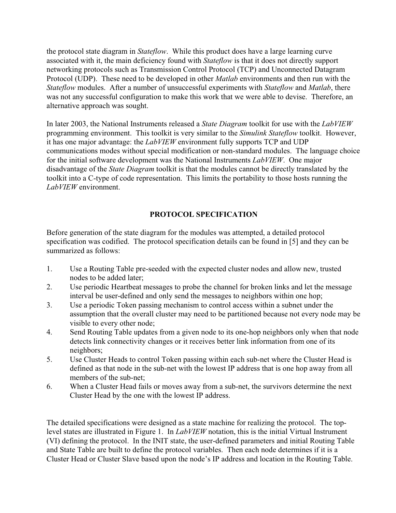the protocol state diagram in *Stateflow*. While this product does have a large learning curve associated with it, the main deficiency found with *Stateflow* is that it does not directly support networking protocols such as Transmission Control Protocol (TCP) and Unconnected Datagram Protocol (UDP). These need to be developed in other *Matlab* environments and then run with the *Stateflow* modules. After a number of unsuccessful experiments with *Stateflow* and *Matlab*, there was not any successful configuration to make this work that we were able to devise. Therefore, an alternative approach was sought.

In later 2003, the National Instruments released a *State Diagram* toolkit for use with the *LabVIEW* programming environment. This toolkit is very similar to the *Simulink Stateflow* toolkit. However, it has one major advantage: the *LabVIEW* environment fully supports TCP and UDP communications modes without special modification or non-standard modules. The language choice for the initial software development was the National Instruments *LabVIEW*. One major disadvantage of the *State Diagram* toolkit is that the modules cannot be directly translated by the toolkit into a C-type of code representation. This limits the portability to those hosts running the *LabVIEW* environment.

## **PROTOCOL SPECIFICATION**

Before generation of the state diagram for the modules was attempted, a detailed protocol specification was codified. The protocol specification details can be found in [5] and they can be summarized as follows:

- 1. Use a Routing Table pre-seeded with the expected cluster nodes and allow new, trusted nodes to be added later;
- 2. Use periodic Heartbeat messages to probe the channel for broken links and let the message interval be user-defined and only send the messages to neighbors within one hop;
- 3. Use a periodic Token passing mechanism to control access within a subnet under the assumption that the overall cluster may need to be partitioned because not every node may be visible to every other node;
- 4. Send Routing Table updates from a given node to its one-hop neighbors only when that node detects link connectivity changes or it receives better link information from one of its neighbors;
- 5. Use Cluster Heads to control Token passing within each sub-net where the Cluster Head is defined as that node in the sub-net with the lowest IP address that is one hop away from all members of the sub-net;
- 6. When a Cluster Head fails or moves away from a sub-net, the survivors determine the next Cluster Head by the one with the lowest IP address.

The detailed specifications were designed as a state machine for realizing the protocol. The toplevel states are illustrated in Figure 1. In *LabVIEW* notation, this is the initial Virtual Instrument (VI) defining the protocol. In the INIT state, the user-defined parameters and initial Routing Table and State Table are built to define the protocol variables. Then each node determines if it is a Cluster Head or Cluster Slave based upon the node's IP address and location in the Routing Table.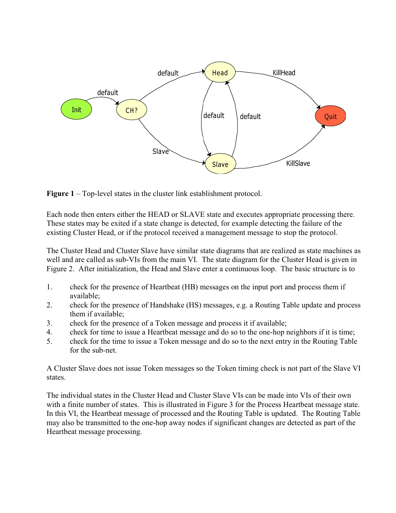

**Figure 1** – Top-level states in the cluster link establishment protocol.

Each node then enters either the HEAD or SLAVE state and executes appropriate processing there. These states may be exited if a state change is detected, for example detecting the failure of the existing Cluster Head, or if the protocol received a management message to stop the protocol.

The Cluster Head and Cluster Slave have similar state diagrams that are realized as state machines as well and are called as sub-VIs from the main VI. The state diagram for the Cluster Head is given in Figure 2. After initialization, the Head and Slave enter a continuous loop. The basic structure is to

- 1. check for the presence of Heartbeat (HB) messages on the input port and process them if available;
- 2. check for the presence of Handshake (HS) messages, e.g. a Routing Table update and process them if available;
- 3. check for the presence of a Token message and process it if available;
- 4. check for time to issue a Heartbeat message and do so to the one-hop neighbors if it is time;
- 5. check for the time to issue a Token message and do so to the next entry in the Routing Table for the sub-net.

A Cluster Slave does not issue Token messages so the Token timing check is not part of the Slave VI states.

The individual states in the Cluster Head and Cluster Slave VIs can be made into VIs of their own with a finite number of states. This is illustrated in Figure 3 for the Process Heartbeat message state. In this VI, the Heartbeat message of processed and the Routing Table is updated. The Routing Table may also be transmitted to the one-hop away nodes if significant changes are detected as part of the Heartbeat message processing.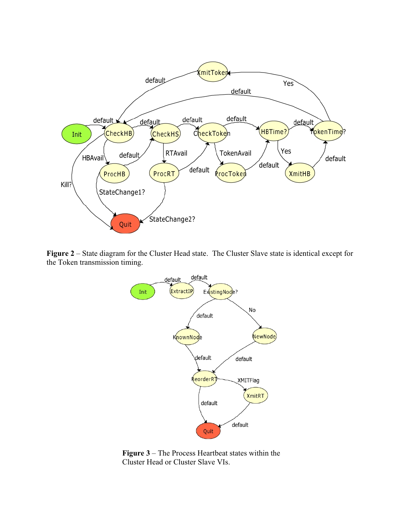

**Figure 2** – State diagram for the Cluster Head state. The Cluster Slave state is identical except for the Token transmission timing.



**Figure 3** – The Process Heartbeat states within the Cluster Head or Cluster Slave VIs.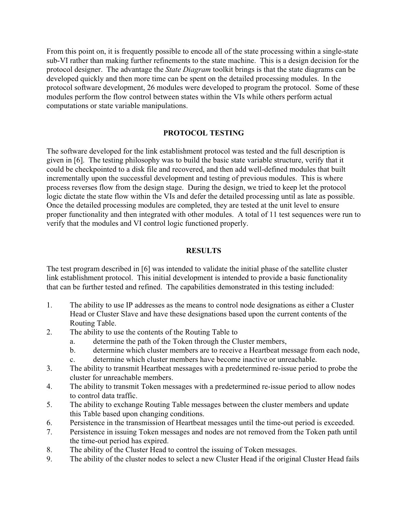From this point on, it is frequently possible to encode all of the state processing within a single-state sub-VI rather than making further refinements to the state machine. This is a design decision for the protocol designer. The advantage the *State Diagram* toolkit brings is that the state diagrams can be developed quickly and then more time can be spent on the detailed processing modules. In the protocol software development, 26 modules were developed to program the protocol. Some of these modules perform the flow control between states within the VIs while others perform actual computations or state variable manipulations.

### **PROTOCOL TESTING**

The software developed for the link establishment protocol was tested and the full description is given in [6]. The testing philosophy was to build the basic state variable structure, verify that it could be checkpointed to a disk file and recovered, and then add well-defined modules that built incrementally upon the successful development and testing of previous modules. This is where process reverses flow from the design stage. During the design, we tried to keep let the protocol logic dictate the state flow within the VIs and defer the detailed processing until as late as possible. Once the detailed processing modules are completed, they are tested at the unit level to ensure proper functionality and then integrated with other modules. A total of 11 test sequences were run to verify that the modules and VI control logic functioned properly.

#### **RESULTS**

The test program described in [6] was intended to validate the initial phase of the satellite cluster link establishment protocol. This initial development is intended to provide a basic functionality that can be further tested and refined. The capabilities demonstrated in this testing included:

- 1. The ability to use IP addresses as the means to control node designations as either a Cluster Head or Cluster Slave and have these designations based upon the current contents of the Routing Table.
- 2. The ability to use the contents of the Routing Table to
	- a. determine the path of the Token through the Cluster members,
	- b. determine which cluster members are to receive a Heartbeat message from each node,
	- c. determine which cluster members have become inactive or unreachable.
- 3. The ability to transmit Heartbeat messages with a predetermined re-issue period to probe the cluster for unreachable members.
- 4. The ability to transmit Token messages with a predetermined re-issue period to allow nodes to control data traffic.
- 5. The ability to exchange Routing Table messages between the cluster members and update this Table based upon changing conditions.
- 6. Persistence in the transmission of Heartbeat messages until the time-out period is exceeded.
- 7. Persistence in issuing Token messages and nodes are not removed from the Token path until the time-out period has expired.
- 8. The ability of the Cluster Head to control the issuing of Token messages.
- 9. The ability of the cluster nodes to select a new Cluster Head if the original Cluster Head fails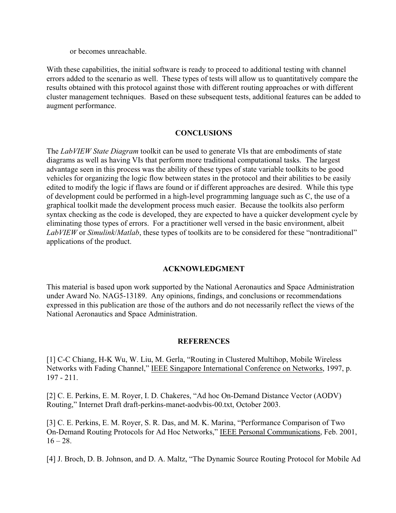or becomes unreachable.

With these capabilities, the initial software is ready to proceed to additional testing with channel errors added to the scenario as well. These types of tests will allow us to quantitatively compare the results obtained with this protocol against those with different routing approaches or with different cluster management techniques. Based on these subsequent tests, additional features can be added to augment performance.

#### **CONCLUSIONS**

The *LabVIEW State Diagram* toolkit can be used to generate VIs that are embodiments of state diagrams as well as having VIs that perform more traditional computational tasks. The largest advantage seen in this process was the ability of these types of state variable toolkits to be good vehicles for organizing the logic flow between states in the protocol and their abilities to be easily edited to modify the logic if flaws are found or if different approaches are desired. While this type of development could be performed in a high-level programming language such as C, the use of a graphical toolkit made the development process much easier. Because the toolkits also perform syntax checking as the code is developed, they are expected to have a quicker development cycle by eliminating those types of errors. For a practitioner well versed in the basic environment, albeit *LabVIEW* or *Simulink*/*Matlab*, these types of toolkits are to be considered for these "nontraditional" applications of the product.

## **ACKNOWLEDGMENT**

This material is based upon work supported by the National Aeronautics and Space Administration under Award No. NAG5-13189. Any opinions, findings, and conclusions or recommendations expressed in this publication are those of the authors and do not necessarily reflect the views of the National Aeronautics and Space Administration.

#### **REFERENCES**

[1] C-C Chiang, H-K Wu, W. Liu, M. Gerla, "Routing in Clustered Multihop, Mobile Wireless Networks with Fading Channel," IEEE Singapore International Conference on Networks, 1997, p. 197 - 211.

[2] C. E. Perkins, E. M. Royer, I. D. Chakeres, "Ad hoc On-Demand Distance Vector (AODV) Routing," Internet Draft draft-perkins-manet-aodvbis-00.txt, October 2003.

[3] C. E. Perkins, E. M. Royer, S. R. Das, and M. K. Marina, "Performance Comparison of Two On-Demand Routing Protocols for Ad Hoc Networks," IEEE Personal Communications, Feb. 2001,  $16 - 28.$ 

[4] J. Broch, D. B. Johnson, and D. A. Maltz, "The Dynamic Source Routing Protocol for Mobile Ad